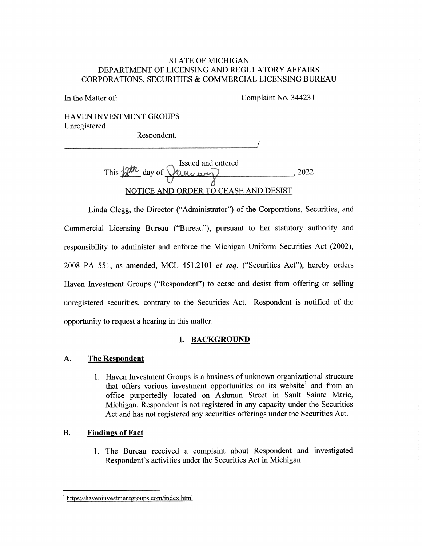### STATE OF MICHIGAN DEPARTMENT OF LICENSING AND REGULATORY AFFAIRS CORPORATIONS, SECURITIES & COMMERCIAL LICENSING BUREAU

In the Matter of: Complaint No. 344231

HAVEN INVESTMENT GROUPS Unregistered

Respondent.

Issued and entered This  $\beta^{\mu\nu}$  day of  $\sqrt{\alpha_{\mu\nu}}$  $\delta$ NOTICE AND ORDER TO CEASE AND DESIST , 2022

Linda Clegg, the Director ("Administrator") of the Corporations, Securities, and Commercial Licensing Bureau ("Bureau"), pursuant to her statutory authority and responsibility to administer and enforce the Michigan Uniform Securities Act (2002), 2008 PA 551, as amended, MCL 451.2101 et seq. ("Securities Act"), hereby orders Haven Investment Groups ("Respondent") to cease and desist from offering or selling unregistered securities, contrary to the Securities Act. Respondent is notified of the opportunity to request a hearing in this matter.

# I. BACKGROUND

## A. The Respondent

1. Haven Investment Groups is a business of unknown organizational structure that offers various investment opportunities on its website<sup>1</sup> and from an office purportedly located on Ashmun Street in Sault Sainte Marie, Michigan. Respondent is not registered in any capacity under the Securities Act and has not registered any securities offerings under the Securities Act.

## B. Findings of Fact

1. The Bureau received a complaint about Respondent and investigated Respondent's activities under the Securities Act in Michigan.

<sup>&</sup>lt;sup>1</sup> https://haveninvestmentgroups.com/index.html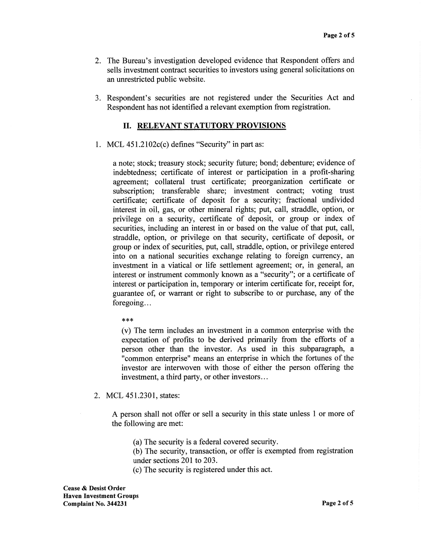- 2. The Bureau's investigation developed evidence that Respondent offers and sells investment contract securities to investors using general solicitations on an unrestricted public website.
- 3. Respondent's securities are not registered under the Securities Act and Respondent has not identified a relevant exemption from registration.

#### II. RELEVANT STATUTORY PROVISIONS

1. MCL 451.2102c(c) defines "Security" in part as:

a note; stock; treasury stock; security future; bond; debenture; evidence of indebtedness; certificate of interest or participation in a profit-sharing agreement; collateral trust certificate; preorganization certificate or subscription; transferable share; investment contract; voting trust certificate; certificate of deposit for a security; fractional undivided interest in oil, gas, or other mineral rights; put, call, straddle, option, or privilege on a security, certificate of deposit, or group or index of securities, including an interest in or based on the value of that put, call, straddle, option, or privilege on that security, certificate of deposit, or group or index of securities, put, call, straddle, option, or privilege entered into on a national securities exchange relating to foreign currency, an investment in a viatical or life settlement agreement; or, in general, an interest or instrument commonly known as a "security"; or a certificate of interest or participation in, temporary or interim certificate for, receipt for, guarantee of, or warrant or right to subscribe to or purchase, any of the foregoing...

#### \*\*\*

(v) The term includes an investment in a common enterprise with the expectation of profits to be derived primarily from the efforts of a person other than the investor. As used in this subparagraph, a "common enterprise" means an enterprise in which the fortunes of the investor are interwoven with those of either the person offering the investment, a third party, or other investors...

2. MCL 451.2301, states:

A person shall not offer or sell a security in this state unless 1 or more of the following are met:

(a) The security is a federal covered security.

(b) The security, transaction, or offer is exempted from registration under sections 201 to 203.

(c) The security is registered under this act.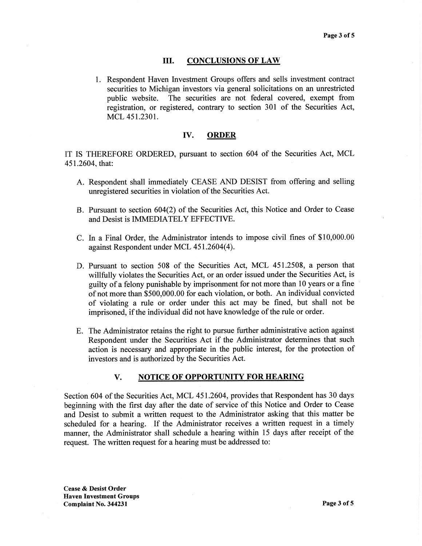#### III. CONCLUSIONS OF LAW

1. Respondent Haven Investment Groups offers and sells investment contract securities to Michigan investors via general solicitations on an unrestricted public website. The securities are not federal covered, exempt from registration, or registered, contrary to section 301 of the Securities Act, MCL 451.2301.

#### IV. ORDER

IT IS THEREFORE ORDERED, pursuant to section 604 of the Securities Act, MCL 451.2604, that:

- A. Respondent shall immediately CEASE AND DESIST from offering and selling unregistered securities in violation of the Securities Act.
- B. Pursuant to section 604(2) of the Securities Act, this Notice and Order to Cease and Desist is IMMEDIATELY EFFECTIVE.
- C. In a Final Order, the Administrator intends to impose civil fines of \$10,000.00 against Respondent under MCL 451.2604(4).
- D. Pursuant to section 508 of the Securities Act, MCL 451.2508, a person that willfully violates the Securities Act, or an order issued under the Securities Act, is guilty of a felony punishable by imprisonment for not more than 10 years or a fine of not more than \$500,000.00 for each violation, or both. An individual convicted of violating a rule or order under this act may be fined, but shall not be imprisoned, if the individual did not have knowledge of the rule or order.
- E. The Administrator retains the right to pursue further administrative action against Respondent under the Securities Act if the Administrator determines that such action is necessary and appropriate in the public interest, for the protection of investors and is authorized by the Securities Act.

#### V. NOTICE OF OPPORTUNITY FOR HEARING

Section 604 of the Securities Act, MCL 451.2604, provides that Respondent has 30 days beginning with the first day after the date of service of this Notice and Order to Cease and Desist to submit a written request to the Administrator asking that this matter be scheduled for a hearing. If the Administrator receives a written request in a timely manner, the Administrator shall schedule a hearing within 15 days after receipt of the request. The written request for a hearing must be addressed to:

Cease & Desist Order Haven Investment Groups Complaint No. 344231 Page 3 of 5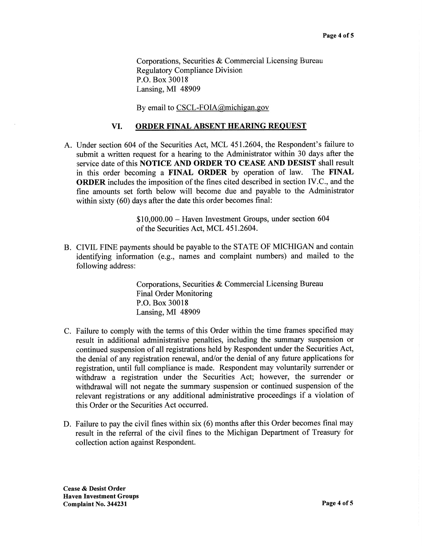Corporations, Securities & Commercial Licensing Bureau Regulatory Compliance Division P.O. Box 30018 Lansing, MI 48909

By email to CSCL-FOIA@michigan.gov

### VI. ORDER FINAL ABSENT HEARING REQUEST

A. Under section 604 of the Securities Act, MCL 451.2604, the Respondent's failure to submit a written request for a hearing to the Administrator within 30 days after the service date of this NOTICE AND ORDER TO CEASE AND DESIST shall result in this order becoming a FINAL ORDER by operation of law. The FINAL ORDER includes the imposition of the fines cited described in section IV.C., and the fine amounts set forth below will become due and payable to the Administrator within sixty (60) days after the date this order becomes final:

> \$10,000.00 — Haven Investment Groups, under section 604 of the Securities Act, MCL 451.2604.

B. CIVIL FINE payments should be payable to the STATE OF MICHIGAN and contain identifying information (e.g., names and complaint numbers) and mailed to the following address:

> Corporations, Securities & Commercial Licensing Bureau Final Order Monitoring P.O. Box 30018 Lansing, MI 48909

- C. Failure to comply with the terms of this Order within the time frames specified may result in additional administrative penalties, including the summary suspension or continued suspension of all registrations held by Respondent under the Securities Act, the denial of any registration renewal, and/or the denial of any future applications for registration, until full compliance is made. Respondent may voluntarily surrender or withdraw a registration under the Securities Act; however, the surrender or withdrawal will not negate the summary suspension or continued suspension of the relevant registrations or any additional administrative proceedings if a violation of this Order or the Securities Act occurred.
- D. Failure to pay the civil fines within six (6) months after this Order becomes final may result in the referral of the civil fines to the Michigan Department of Treasury for collection action against Respondent.